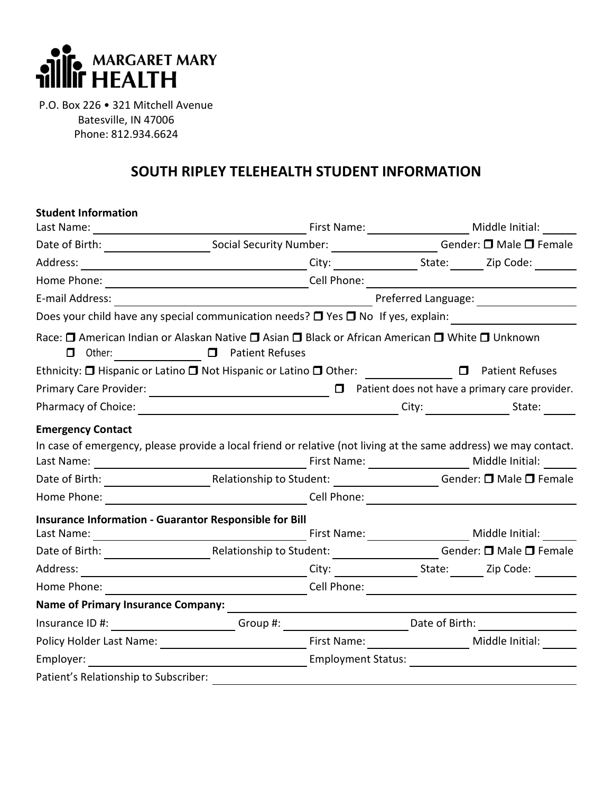

P.O. Box 226 • 321 Mitchell Avenue Batesville, IN 47006 Phone: 812.934.6624

## **SOUTH RIPLEY TELEHEALTH STUDENT INFORMATION**

| <b>Student Information</b>                                                                                                      |                                                                                                                     |                                                        |                                                                                                                                          |                                                           |  |  |
|---------------------------------------------------------------------------------------------------------------------------------|---------------------------------------------------------------------------------------------------------------------|--------------------------------------------------------|------------------------------------------------------------------------------------------------------------------------------------------|-----------------------------------------------------------|--|--|
|                                                                                                                                 |                                                                                                                     |                                                        |                                                                                                                                          | First Name: ________________________ Middle Initial: ____ |  |  |
|                                                                                                                                 |                                                                                                                     |                                                        | Date of Birth: _________________________________Social Security Number: ___________________________Gender: <b>O</b> Male <b>O</b> Female |                                                           |  |  |
| Address:                                                                                                                        |                                                                                                                     |                                                        |                                                                                                                                          |                                                           |  |  |
|                                                                                                                                 |                                                                                                                     |                                                        |                                                                                                                                          |                                                           |  |  |
| E-mail Address:                                                                                                                 | <u> 1980 - Jan Barbara Barat, politik eta politik eta politik eta politik eta politik eta politik eta politik e</u> | Preferred Language: Note that                          |                                                                                                                                          |                                                           |  |  |
| Does your child have any special communication needs? $\Box$ Yes $\Box$ No If yes, explain:                                     |                                                                                                                     |                                                        |                                                                                                                                          |                                                           |  |  |
| Race: □ American Indian or Alaskan Native □ Asian □ Black or African American □ White □ Unknown<br>□ Other: □ □ Patient Refuses |                                                                                                                     |                                                        |                                                                                                                                          |                                                           |  |  |
| Ethnicity: □ Hispanic or Latino □ Not Hispanic or Latino □ Other: □ □ □ □ Patient Refuses                                       |                                                                                                                     |                                                        |                                                                                                                                          |                                                           |  |  |
| Primary Care Provider:                                                                                                          |                                                                                                                     |                                                        |                                                                                                                                          | $\Box$ Patient does not have a primary care provider.     |  |  |
|                                                                                                                                 |                                                                                                                     |                                                        |                                                                                                                                          |                                                           |  |  |
| In case of emergency, please provide a local friend or relative (not living at the same address) we may contact.<br>Home Phone: |                                                                                                                     |                                                        |                                                                                                                                          |                                                           |  |  |
|                                                                                                                                 |                                                                                                                     |                                                        |                                                                                                                                          |                                                           |  |  |
| Insurance Information - Guarantor Responsible for Bill                                                                          |                                                                                                                     |                                                        |                                                                                                                                          | First Name: ________________________ Middle Initial:      |  |  |
|                                                                                                                                 |                                                                                                                     |                                                        |                                                                                                                                          |                                                           |  |  |
| Address:                                                                                                                        |                                                                                                                     |                                                        |                                                                                                                                          |                                                           |  |  |
|                                                                                                                                 |                                                                                                                     |                                                        |                                                                                                                                          |                                                           |  |  |
| <b>Name of Primary Insurance Company:</b>                                                                                       |                                                                                                                     |                                                        |                                                                                                                                          |                                                           |  |  |
|                                                                                                                                 |                                                                                                                     | Insurance ID #: Date of Birth: Group #: Case of Birth: |                                                                                                                                          |                                                           |  |  |
| Policy Holder Last Name: 2008 2010 2020 2021 2022 2022 2022 2023                                                                |                                                                                                                     | First Name: 1999                                       |                                                                                                                                          | Middle Initial:                                           |  |  |
| Employer:                                                                                                                       |                                                                                                                     | <b>Employment Status:</b>                              |                                                                                                                                          |                                                           |  |  |
| Patient's Relationship to Subscriber:                                                                                           |                                                                                                                     |                                                        |                                                                                                                                          |                                                           |  |  |